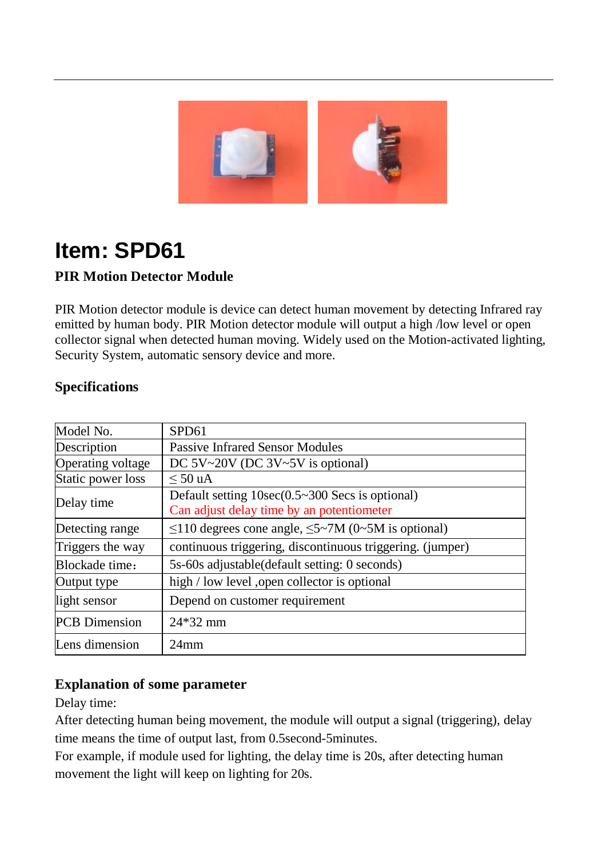

# **Item: SPD61**

### **PIR Motion Detector Module**

PIR Motion detector module is device can detect human movement by detecting Infrared ray emitted by human body. PIR Motion detector module will output a high /low level or open collector signal when detected human moving. Widely used on the Motion-activated lighting, Security System, automatic sensory device and more.

| Model No.            | SPD61                                                                                                |
|----------------------|------------------------------------------------------------------------------------------------------|
| Description          | <b>Passive Infrared Sensor Modules</b>                                                               |
| Operating voltage    | DC $5V~20V$ (DC $3V~5V$ is optional)                                                                 |
| Static power loss    | $\leq 50$ uA                                                                                         |
| Delay time           | Default setting $10\sec(0.5 \sim 300$ Secs is optional)<br>Can adjust delay time by an potentiometer |
| Detecting range      | $\leq$ 110 degrees cone angle, $\leq$ 5~7M (0~5M is optional)                                        |
| Triggers the way     | continuous triggering, discontinuous triggering. (jumper)                                            |
| Blockade time:       | 5s-60s adjustable (default setting: 0 seconds)                                                       |
| Output type          | high / low level , open collector is optional                                                        |
| light sensor         | Depend on customer requirement                                                                       |
| <b>PCB</b> Dimension | $24*32$ mm                                                                                           |
| Lens dimension       | $24$ mm                                                                                              |

#### **Specifications**

#### **Explanation of some parameter**

Delay time:

After detecting human being movement, the module will output a signal (triggering), delay time means the time of output last, from 0.5second-5minutes.

For example, if module used for lighting, the delay time is 20s, after detecting human movement the light will keep on lighting for 20s.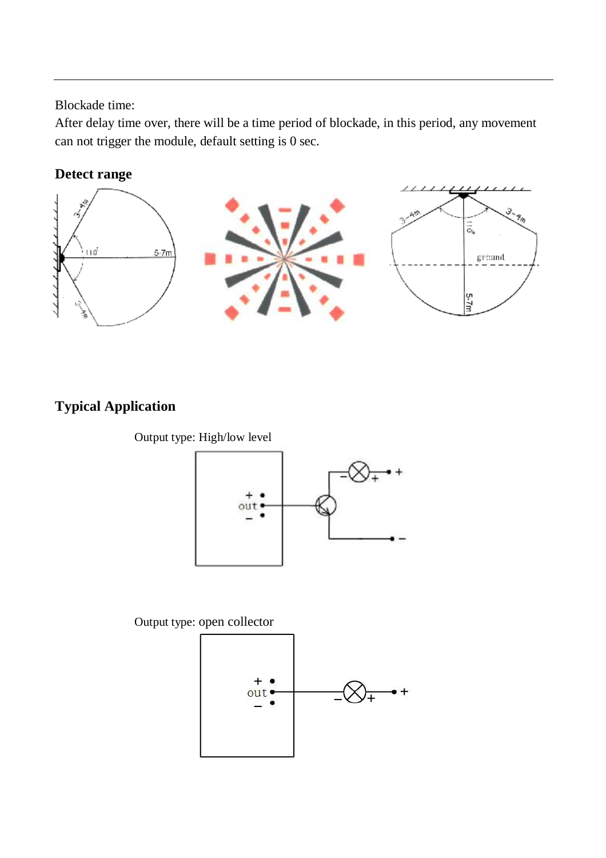Blockade time:

After delay time over, there will be a time period of blockade, in this period, any movement can not trigger the module, default setting is 0 sec.

#### **Detect range**



## **Typical Application**

Output type: High/low level



Output type: open collector